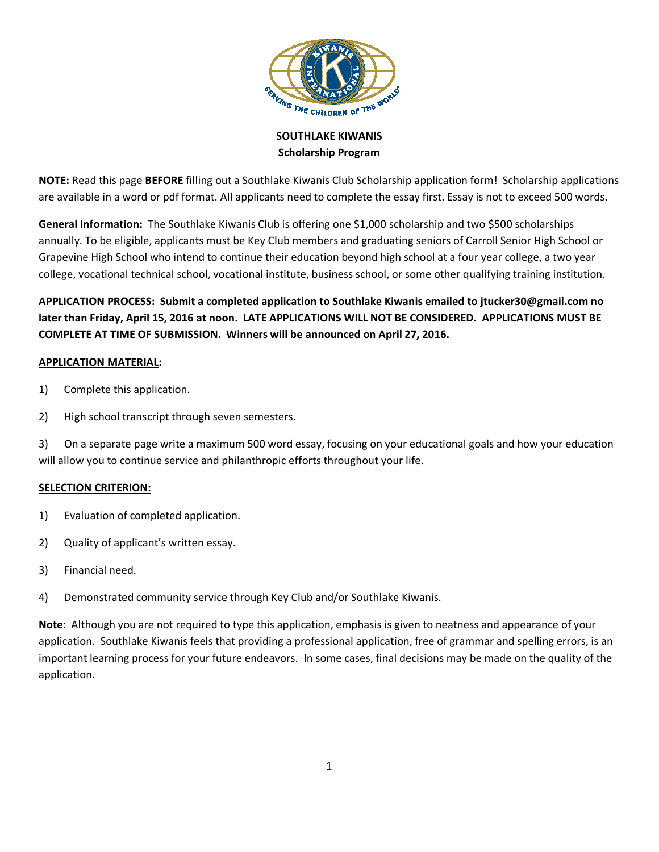

SOUTHLAKE KIWANIS Scholarship Program

NOTE: Read this page BEFORE filling out a Southlake Kiwanis Club Scholarship application form! Scholarship applications are available in a word or pdf format. All applicants need to complete the essay first. Essay is not to exceed 500 words.

General Information: The Southlake Kiwanis Club is offering one \$1,000 scholarship and two \$500 scholarships annually. To be eligible, applicants must be Key Club members and graduating seniors of Carroll Senior High School or Grapevine High School who intend to continue their education beyond high school at a four year college, a two year college, vocational technical school, vocational institute, business school, or some other qualifying training institution.

APPLICATION PROCESS: Submit a completed application to Southlake Kiwanis emailed to jtucker30@gmail.com no later than Friday, April 15, 2016 at noon. LATE APPLICATIONS WILL NOT BE CONSIDERED. APPLICATIONS MUST BE COMPLETE AT TIME OF SUBMISSION. Winners will be announced on April 27, 2016.

## APPLICATION MATERIAL:

- 1) Complete this application.
- 2) High school transcript through seven semesters.

3) On a separate page write a maximum 500 word essay, focusing on your educational goals and how your education will allow you to continue service and philanthropic efforts throughout your life.

## SELECTION CRITERION:

- 1) Evaluation of completed application.
- 2) Quality of applicant's written essay.
- 3) Financial need.
- 4) Demonstrated community service through Key Club and/or Southlake Kiwanis.

Note: Although you are not required to type this application, emphasis is given to neatness and appearance of your application. Southlake Kiwanis feels that providing a professional application, free of grammar and spelling errors, is an important learning process for your future endeavors. In some cases, final decisions may be made on the quality of the application.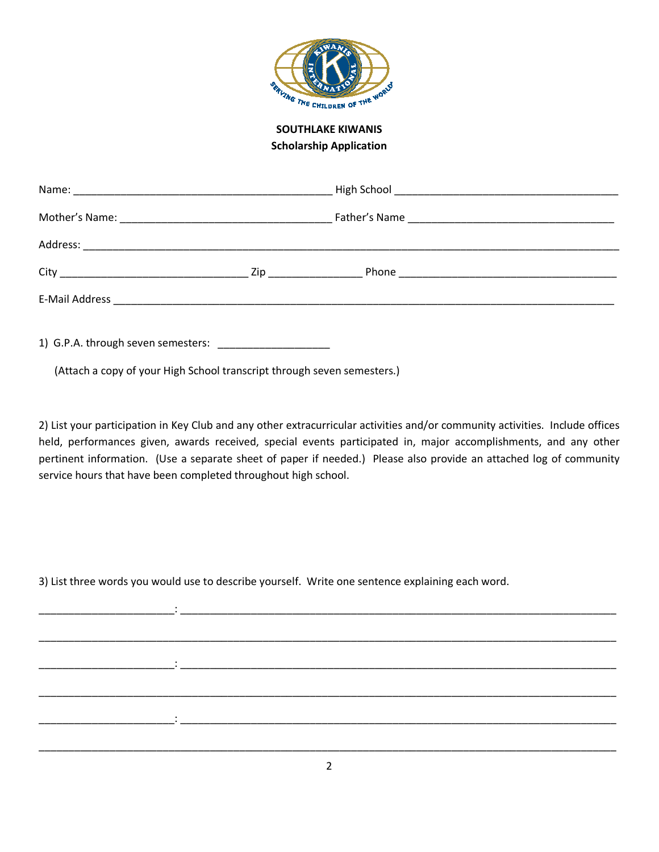

SOUTHLAKE KIWANIS Scholarship Application

|                                                                                                               | Zip and the state of the state of the state of the state of the state of the state of the state of the state o |  |
|---------------------------------------------------------------------------------------------------------------|----------------------------------------------------------------------------------------------------------------|--|
| E-Mail Address 2008 2009 2009 2009 2009 2010 2021 2032 2040 2051 2062 207 208 209 209 2009 2010 2021 2022 203 |                                                                                                                |  |
|                                                                                                               |                                                                                                                |  |

1) G.P.A. through seven semesters: \_\_\_\_\_\_\_\_\_\_\_\_\_\_\_\_\_\_\_

(Attach a copy of your High School transcript through seven semesters.)

2) List your participation in Key Club and any other extracurricular activities and/or community activities. Include offices held, performances given, awards received, special events participated in, major accomplishments, and any other pertinent information. (Use a separate sheet of paper if needed.) Please also provide an attached log of community service hours that have been completed throughout high school.

3) List three words you would use to describe yourself. Write one sentence explaining each word.

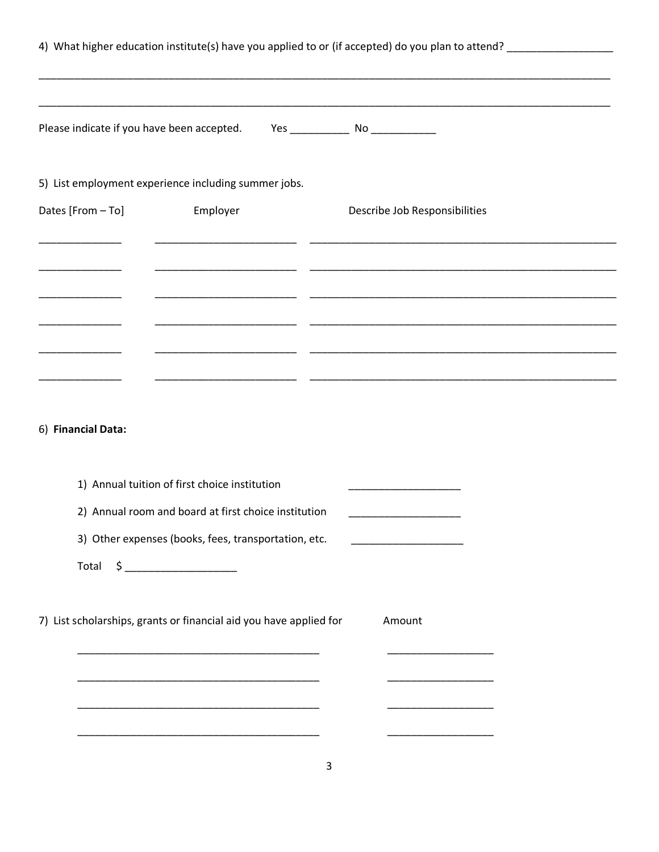|                    |                                                                                  | 4) What higher education institute(s) have you applied to or (if accepted) do you plan to attend? __________________ |  |
|--------------------|----------------------------------------------------------------------------------|----------------------------------------------------------------------------------------------------------------------|--|
|                    | Please indicate if you have been accepted. Yes _________________________________ |                                                                                                                      |  |
|                    | 5) List employment experience including summer jobs.                             |                                                                                                                      |  |
| Dates [From - To]  | Employer                                                                         | Describe Job Responsibilities                                                                                        |  |
|                    |                                                                                  |                                                                                                                      |  |
|                    |                                                                                  |                                                                                                                      |  |
|                    |                                                                                  |                                                                                                                      |  |
|                    |                                                                                  |                                                                                                                      |  |
|                    |                                                                                  |                                                                                                                      |  |
| 6) Financial Data: |                                                                                  |                                                                                                                      |  |
|                    | 1) Annual tuition of first choice institution                                    |                                                                                                                      |  |
|                    | 2) Annual room and board at first choice institution                             |                                                                                                                      |  |
|                    | 3) Other expenses (books, fees, transportation, etc.                             |                                                                                                                      |  |
|                    | Total \$ ________________________                                                |                                                                                                                      |  |
|                    | 7) List scholarships, grants or financial aid you have applied for               | Amount                                                                                                               |  |
|                    |                                                                                  |                                                                                                                      |  |
|                    |                                                                                  |                                                                                                                      |  |
|                    |                                                                                  |                                                                                                                      |  |
|                    |                                                                                  |                                                                                                                      |  |